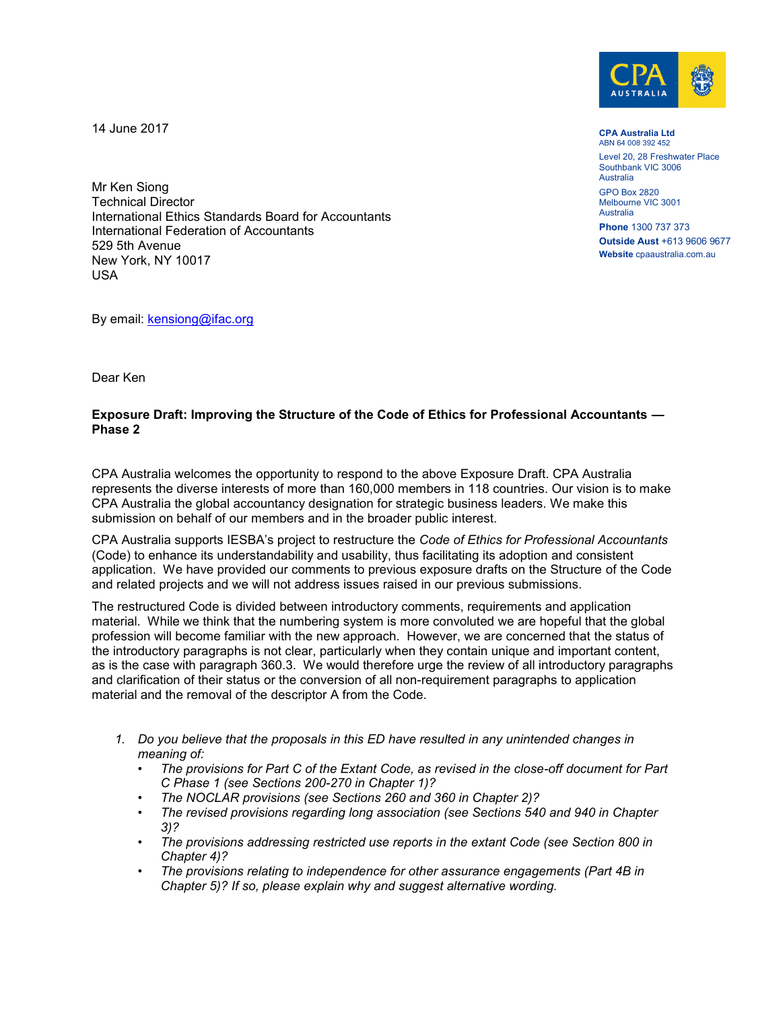14 June 2017



**CPA Australia Ltd** ABN 64 008 392 452 Level 20, 28 Freshwater Place Southbank VIC 3006 Australia GPO Box 2820

Melbourne VIC 3001 Australia

**Phone** 1300 737 373 **Outside Aust** +613 9606 9677 **Website** cpaaustralia.com.au

Mr Ken Siong Technical Director International Ethics Standards Board for Accountants International Federation of Accountants 529 5th Avenue New York, NY 10017 USA

By email: [kensiong@ifac.org](mailto:kensiong@ifac.org)

Dear Ken

## **Exposure Draft: Improving the Structure of the Code of Ethics for Professional Accountants — Phase 2**

CPA Australia welcomes the opportunity to respond to the above Exposure Draft. CPA Australia represents the diverse interests of more than 160,000 members in 118 countries. Our vision is to make CPA Australia the global accountancy designation for strategic business leaders. We make this submission on behalf of our members and in the broader public interest.

CPA Australia supports IESBA's project to restructure the *Code of Ethics for Professional Accountants* (Code) to enhance its understandability and usability, thus facilitating its adoption and consistent application. We have provided our comments to previous exposure drafts on the Structure of the Code and related projects and we will not address issues raised in our previous submissions.

The restructured Code is divided between introductory comments, requirements and application material. While we think that the numbering system is more convoluted we are hopeful that the global profession will become familiar with the new approach. However, we are concerned that the status of the introductory paragraphs is not clear, particularly when they contain unique and important content, as is the case with paragraph 360.3. We would therefore urge the review of all introductory paragraphs and clarification of their status or the conversion of all non-requirement paragraphs to application material and the removal of the descriptor A from the Code.

- *1. Do you believe that the proposals in this ED have resulted in any unintended changes in meaning of:*
	- *The provisions for Part C of the Extant Code, as revised in the close-off document for Part C Phase 1 (see Sections 200-270 in Chapter 1)?*
	- *The NOCLAR provisions (see Sections 260 and 360 in Chapter 2)?*
	- *The revised provisions regarding long association (see Sections 540 and 940 in Chapter 3)?*
	- *The provisions addressing restricted use reports in the extant Code (see Section 800 in Chapter 4)?*
	- *The provisions relating to independence for other assurance engagements (Part 4B in Chapter 5)? If so, please explain why and suggest alternative wording.*